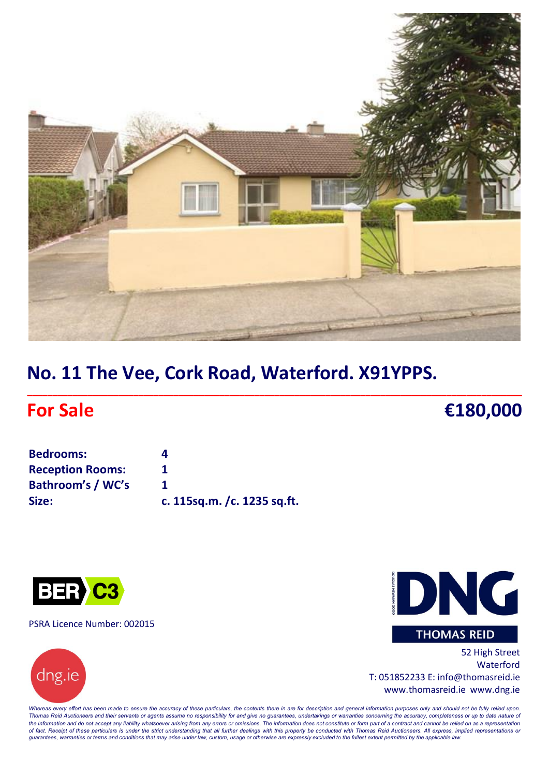

**\_\_\_\_\_\_\_\_\_\_\_\_\_\_\_\_\_\_\_\_\_\_\_\_\_\_\_\_\_\_\_\_\_\_\_\_\_\_\_\_\_\_\_\_\_\_\_\_\_\_\_\_\_\_\_\_\_\_\_\_\_\_\_\_\_\_\_\_\_\_\_\_\_\_\_\_\_\_\_\_\_\_\_\_\_\_\_\_\_\_\_\_\_\_\_\_\_\_**

# **No. 11 The Vee, Cork Road, Waterford. X91YPPS.**

## **For Sale €180,000**

| <b>Bedrooms:</b>        |                             |
|-------------------------|-----------------------------|
| <b>Reception Rooms:</b> |                             |
| Bathroom's / WC's       |                             |
| Size:                   | c. 115sq.m. /c. 1235 sq.ft. |



PSRA Licence Number: 002015



DNG **THOMAS REID** 

52 High Street Waterford T: 051852233 E: [info@thomasreid.ie](mailto:info@thomasreid.ie) [www.thomasreid.ie](http://www.thomasried.ie/) [www.dng.ie](http://www.dng.ie/)

Whereas every effort has been made to ensure the accuracy of these particulars, the contents there in are for description and general information purposes only and should not be fully relied upon. Thomas Reid Auctioneers and their servants or agents assume no responsibility for and give no guarantees, undertakings or warranties concerning the accuracy, completeness or up to date nature of *the information and do not accept any liability whatsoever arising from any errors or omissions. The information does not constitute or form part of a contract and cannot be relied on as a representation of fact. Receipt of these particulars is under the strict understanding that all further dealings with this property be conducted with Thomas Reid Auctioneers. All express, implied representations or guarantees, warranties or terms and conditions that may arise under law, custom, usage or otherwise are expressly excluded to the fullest extent permitted by the applicable law.*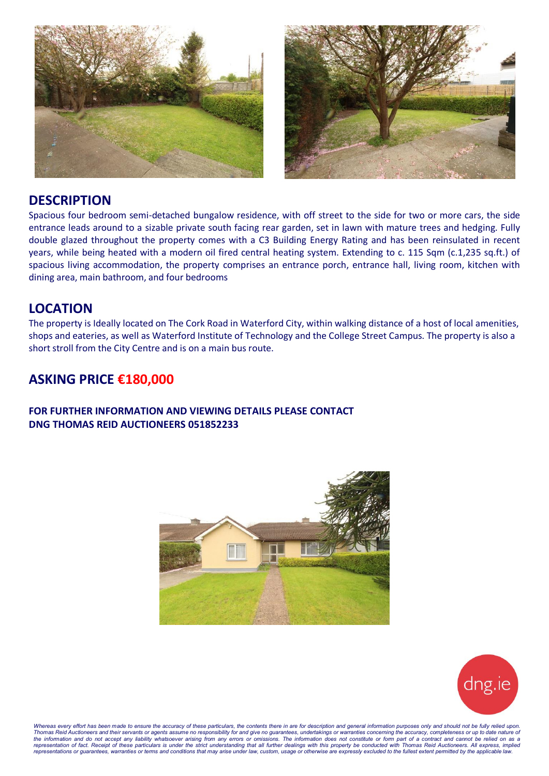

#### **DESCRIPTION**

Spacious four bedroom semi-detached bungalow residence, with off street to the side for two or more cars, the side entrance leads around to a sizable private south facing rear garden, set in lawn with mature trees and hedging. Fully double glazed throughout the property comes with a C3 Building Energy Rating and has been reinsulated in recent years, while being heated with a modern oil fired central heating system. Extending to c. 115 Sqm (c.1,235 sq.ft.) of spacious living accommodation, the property comprises an entrance porch, entrance hall, living room, kitchen with dining area, main bathroom, and four bedrooms

### **LOCATION**

The property is Ideally located on The Cork Road in Waterford City, within walking distance of a host of local amenities, shops and eateries, as well as Waterford Institute of Technology and the College Street Campus. The property is also a short stroll from the City Centre and is on a main bus route.

### **ASKING PRICE €180,000**

**FOR FURTHER INFORMATION AND VIEWING DETAILS PLEASE CONTACT DNG THOMAS REID AUCTIONEERS 051852233**





Whereas every effort has been made to ensure the accuracy of these particulars, the contents there in are for description and general information purposes only and should not be fully relied upon.<br>Thomas Reid Auctioneers a *representations or guarantees, warranties or terms and conditions that may arise under law, custom, usage or otherwise are expressly excluded to the fullest extent permitted by the applicable law.*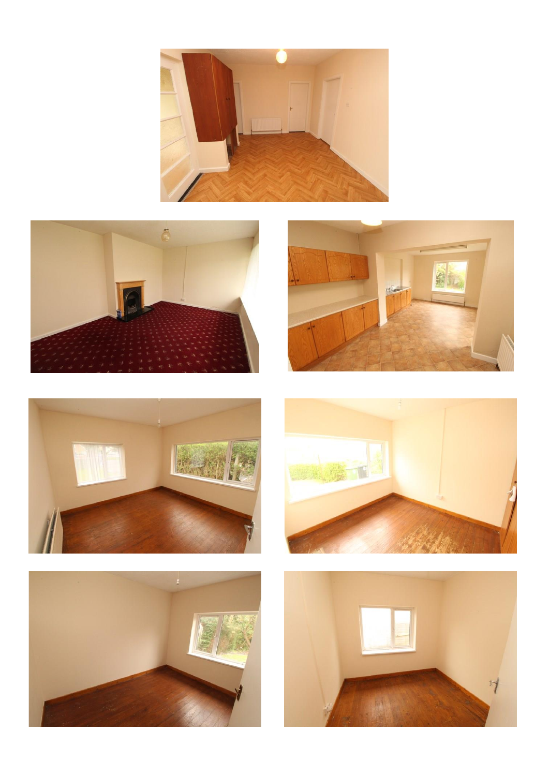